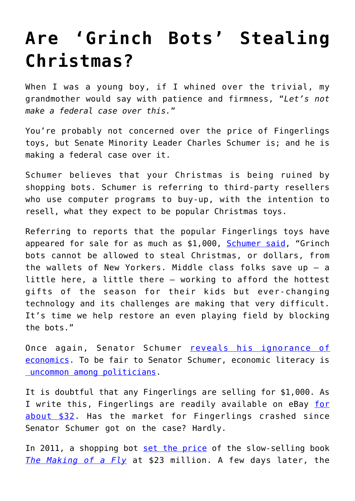## **[Are 'Grinch Bots' Stealing](https://intellectualtakeout.org/2017/12/are-grinch-bots-stealing-christmas/) [Christmas?](https://intellectualtakeout.org/2017/12/are-grinch-bots-stealing-christmas/)**

When I was a young boy, if I whined over the trivial, my grandmother would say with patience and firmness, "*Let's not make a federal case over this.*"

You're probably not concerned over the price of Fingerlings toys, but Senate Minority Leader Charles Schumer is; and he is making a federal case over it.

Schumer believes that your Christmas is being ruined by shopping bots. Schumer is referring to third-party resellers who use computer programs to buy-up, with the intention to resell, what they expect to be popular Christmas toys.

Referring to reports that the popular Fingerlings toys have appeared for sale for as much as \$1,000, [Schumer said,](https://www.npr.org/2017/12/05/568624246/grinch-bots-attempt-to-steal-christmas-by-driving-up-toy-prices) "Grinch bots cannot be allowed to steal Christmas, or dollars, from the wallets of New Yorkers. Middle class folks save up — a little here, a little there — working to afford the hottest gifts of the season for their kids but ever-changing technology and its challenges are making that very difficult. It's time we help restore an even playing field by blocking the bots."

Once again, Senator Schumer [reveals his ignorance of](https://www.intellectualtakeout.org/blog/why-hell-are-politicians-trying-run-airlines) [economics](https://www.intellectualtakeout.org/blog/why-hell-are-politicians-trying-run-airlines). To be fair to Senator Schumer, economic literacy is  [uncommon among politicians.](https://www.intellectualtakeout.org/article/how-government-takes-workers-help-wealthy)

It is doubtful that any Fingerlings are selling for \$1,000. As I write this, Fingerlings are readily available on eBay [for](https://www.ebay.com/sch/i.html?_from=R40&_trksid=p2380057.m570.l1311.R1.TR6.TRC2.A0.H0.TRS0&_nkw=fingerlings+toys&_sacat=0) [about \\$32](https://www.ebay.com/sch/i.html?_from=R40&_trksid=p2380057.m570.l1311.R1.TR6.TRC2.A0.H0.TRS0&_nkw=fingerlings+toys&_sacat=0). Has the market for Fingerlings crashed since Senator Schumer got on the case? Hardly.

In 2011, a shopping bot [set the price](http://www.cnn.com/2011/TECH/web/04/25/amazon.price.algorithm/index.html) of the slow-selling book *[The Making of a Fly](https://www.amazon.com/Making-Fly-Genetics-Animal-Design/dp/0632030488)* at \$23 million. A few days later, the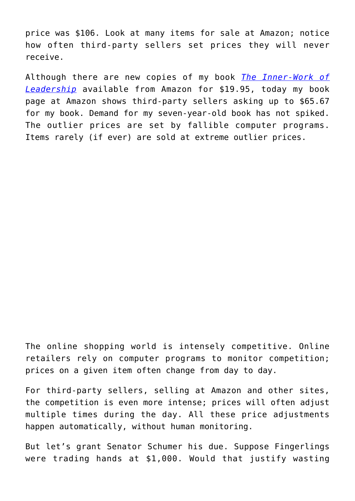price was \$106. Look at many items for sale at Amazon; notice how often third-party sellers set prices they will never receive.

Although there are new copies of my book *[The Inner-Work of](https://www.amazon.com/Inner-Work-Leadership-Barry-Brownstein/dp/0984425403/) [Leadership](https://www.amazon.com/Inner-Work-Leadership-Barry-Brownstein/dp/0984425403/)* available from Amazon for \$19.95, today my book page at Amazon shows third-party sellers asking up to \$65.67 for my book. Demand for my seven-year-old book has not spiked. The outlier prices are set by fallible computer programs. Items rarely (if ever) are sold at extreme outlier prices.

The online shopping world is intensely competitive. Online retailers rely on computer programs to monitor competition; prices on a given item often change from day to day.

For third-party sellers, selling at Amazon and other sites, the competition is even more intense; prices will often adjust multiple times during the day. All these price adjustments happen automatically, without human monitoring.

But let's grant Senator Schumer his due. Suppose Fingerlings were trading hands at \$1,000. Would that justify wasting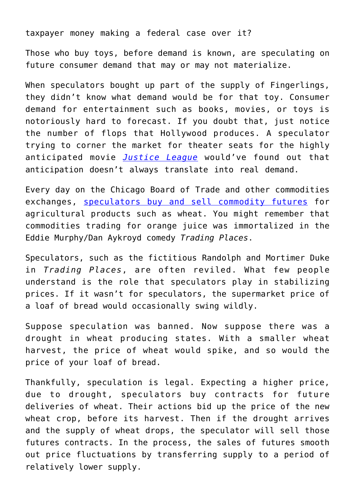taxpayer money making a federal case over it?

Those who buy toys, before demand is known, are speculating on future consumer demand that may or may not materialize.

When speculators bought up part of the supply of Fingerlings, they didn't know what demand would be for that toy. Consumer demand for entertainment such as books, movies, or toys is notoriously hard to forecast. If you doubt that, just notice the number of flops that Hollywood produces. A speculator trying to corner the market for theater seats for the highly anticipated movie *[Justice League](https://www.forbes.com/sites/scottmendelson/2017/11/28/the-one-upside-to-justice-leagues-box-office-failure/#48a3bd6d1b12)* would've found out that anticipation doesn't always translate into real demand.

Every day on the Chicago Board of Trade and other commodities exchanges, [speculators buy and sell commodity futures](https://www.danielstrading.com/education/futures-options-101/hedges-speculators) for agricultural products such as wheat. You might remember that commodities trading for orange juice was immortalized in the Eddie Murphy/Dan Aykroyd comedy *Trading Places*.

Speculators, such as the fictitious Randolph and Mortimer Duke in *Trading Places*, are often reviled. What few people understand is the role that speculators play in stabilizing prices. If it wasn't for speculators, the supermarket price of a loaf of bread would occasionally swing wildly.

Suppose speculation was banned. Now suppose there was a drought in wheat producing states. With a smaller wheat harvest, the price of wheat would spike, and so would the price of your loaf of bread.

Thankfully, speculation is legal. Expecting a higher price, due to drought, speculators buy contracts for future deliveries of wheat. Their actions bid up the price of the new wheat crop, before its harvest. Then if the drought arrives and the supply of wheat drops, the speculator will sell those futures contracts. In the process, the sales of futures smooth out price fluctuations by transferring supply to a period of relatively lower supply.